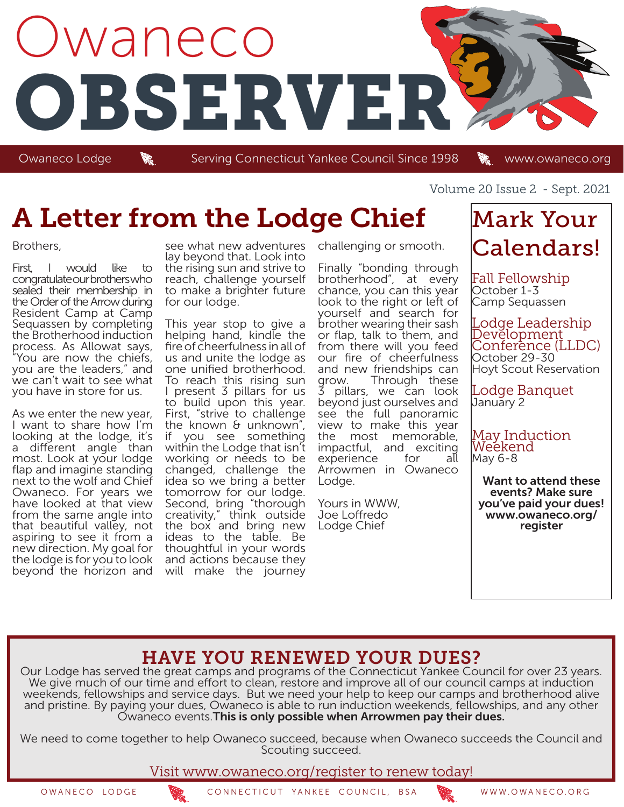

Owaneco Lodge Serving Connecticut Yankee Council Since 1998 in www.owaneco.org

# A Letter from the Lodge Chief

#### Brothers,

First, I would like to congratulate our brothers who sealed their membership in the Order of the Arrow during Resident Camp at Camp Sequassen by completing the Brotherhood induction process. As Allowat says, "You are now the chiefs, you are the leaders," and we can't wait to see what you have in store for us.

As we enter the new year, I want to share how I'm looking at the lodge, it's a different angle than most. Look at your lodge flap and imagine standing next to the wolf and Chief Owaneco. For years we have looked at that view from the same angle into that beautiful valley, not aspiring to see it from a new direction. My goal for the lodge is for you to look beyond the horizon and

see what new adventures lay beyond that. Look into the rising sun and strive to reach, challenge yourself to make a brighter future for our lodge.

This year stop to give a helping hand, kindle the fire of cheerfulness in all of us and unite the lodge as one unified brotherhood. To reach this rising sun I present 3 pillars for us to build upon this year. First, "strive to challenge the known & unknown", if you see something within the Lodge that isn't working or needs to be changed, challenge the idea so we bring a better tomorrow for our lodge. Second, bring "thorough creativity," think outside the box and bring new ideas to the table. Be thoughtful in your words and actions because they will make the journey

challenging or smooth.

Finally "bonding through brotherhood", at every chance, you can this year look to the right or left of yourself and search for brother wearing their sash or flap, talk to them, and from there will you feed our fire of cheerfulness and new friendships can<br>grow. Through these Through these 3 pillars, we can look beyond just ourselves and see the full panoramic view to make this year the most memorable, impactful, and exciting experience Arrowmen in Owaneco Lodge.

Yours in WWW, Joe Loffredo Lodge Chief

Volume 20 Issue 2 - Sept. 2021

## Mark Your Calendars!

Fall Fellowship October 1-3 Camp Sequassen

Lodge Leadership Development Conferènce (LLDC) October 29-30 Hoyt Scout Reservation

Lodge Banquet January 2

May Induction Weekend May 6-8

Want to attend these events? Make sure you've paid your dues! www.owaneco.org/ register

### HAVE YOU RENEWED YOUR DUES?

Our Lodge has served the great camps and programs of the Connecticut Yankee Council for over 23 years. We give much of our time and effort to clean, restore and improve all of our council camps at induction weekends, fellowships and service days. But we need your help to keep our camps and brotherhood alive and pristine. By paying your dues, Owaneco is able to run induction weekends, fellowships, and any other Owaneco events. This is only possible when Arrowmen pay their dues.

We need to come together to help Owaneco succeed, because when Owaneco succeeds the Council and Scouting succeed.

Visit www.owaneco.org/register to renew today!

OWANECO LODGE CONNECTICUT YANKEE COUNCIL, BSA WWW.OWANECO.ORG

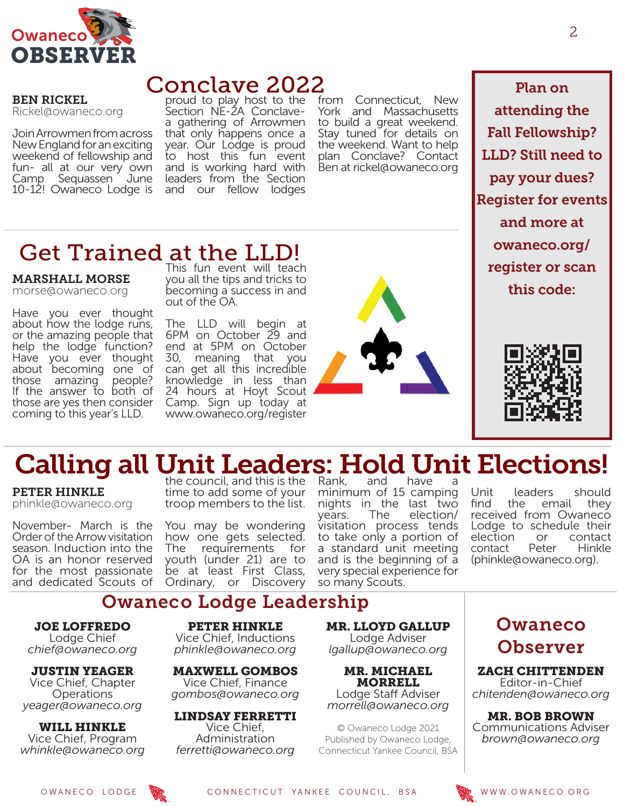

### Conclave 2022

BEN RICKEL Rickel@owaneco.org

Join Arrowmen from across New England for an exciting weekend of fellowship and fun- all at our very own Camp Sequassen June 10-12! Owaneco Lodge is

MARSHALL MORSE morse@owaneco.org

Have you ever thought about how the lodge runs, or the amazing people that help the lodge function? Have you ever thought about becoming one of those amazing people? If the answer to both of those are yes then consider coming to this year's LLD.

Get Trained at the LLD!

proud to play host to the Section NE-2A Conclavea gathering of Arrowmen that only happens once a year. Our Lodge is proud to host this fun event and is working hard with leaders from the Section and our fellow lodges

This fun event will teach you all the tips and tricks to becoming a success in and

The LLD will begin at 6PM on October 29 and end at 5PM on October 30, meaning that you can get all this incredible knowledge in less than 24 hours at Hoyt Scout Camp. Sign up today at www.owaneco.org/register

out of the OA.

from Connecticut, New York and Massachusetts to build a great weekend. Stay tuned for details on the weekend. Want to help plan Conclave? Contact Ben at rickel@owaneco.org

Plan on attending the Fall Fellowship? LLD? Still need to pay your dues? Register for events and more at owaneco.org/ register or scan this code:



# Calling all Unit Leaders: Hold Unit Elections!

PETER HINKLE phinkle@owaneco.org

November- March is the Order of the Arrow visitation season. Induction into the OA is an honor reserved for the most passionate and dedicated Scouts of

the council, and this is the time to add some of your troop members to the list.

You may be wondering how one gets selected. The requirements for youth (under 21) are to be at least First Class, Ordinary, or Discovery

minimum of 15 camping nights in the last two<br>years. The election/ years. The election/ visitation process tends to take only a portion of a standard unit meeting and is the beginning of a very special experience for so many Scouts.

Unit leaders should<br>find the email they the email received from Owaneco Lodge to schedule their election or contact<br>contact Peter Hinkle contact (phinkle@owaneco.org).

### Owaneco Lodge Leadership

JOE LOFFREDO Lodge Chief *chief@owaneco.org*

JUSTIN YEAGER Vice Chief, Chapter **Operations** *yeager@owaneco.org*

WILL HINKLE Vice Chief, Program *whinkle@owaneco.org*

PETER HINKLE Vice Chief, Inductions *phinkle@owaneco.org*

MAXWELL GOMBOS Vice Chief, Finance *gombos@owaneco.org*

LINDSAY FERRETTI Vice Chief, Administration *ferretti@owaneco.org*

MR. LLOYD GALLUP Lodge Adviser *lgallup@owaneco.org*

MR. MICHAEL MORRELL Lodge Staff Adviser *morrell@owaneco.org*

© Owaneco Lodge 2021 Published by Owaneco Lodge, Connecticut Yankee Council, BSA

### Owaneco Observer

ZACH CHITTENDEN Editor-in-Chief *chitenden@owaneco.org*

MR. BOB BROWN Communications Adviser *brown@owaneco.org*

OWANECO LODGE **WE CONNECTICUT YANKEE COUNCIL, BSA** WWW.OWANECO.ORG

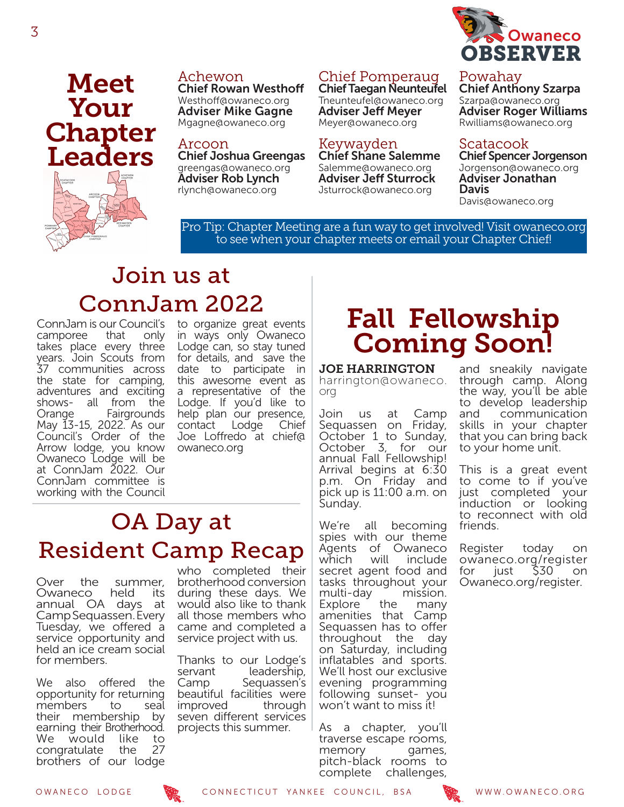

### Powahay

Chief Anthony Szarpa Szarpa@owaneco.org Adviser Roger Williams Rwilliams@owaneco.org

### Scatacook

Chief Spencer Jorgenson Jorgenson@owaneco.org Adviser Jonathan Davis Davis@owaneco.org

Pro Tip: Chapter Meeting are a fun way to get involved! Visit owaneco.org to see when your chapter meets or email your Chapter Chief!

Chief Pomperaug Chief Taegan Neunteufel Tneunteufel@owaneco.org Adviser Jeff Meyer Meyer@owaneco.org

Chief Shane Salemme Salemme@owaneco.org Adviser Jeff Sturrock Jsturrock@owaneco.org

Keywayden

## Join us at ConnJam 2022

Achewon

Arcoon

Chief Rowan Westhoff Westhoff@owaneco.org Adviser Mike Gagne Mgagne@owaneco.org

Chief Joshua Greengas greengas@owaneco.org Adviser Rob Lynch rlynch@owaneco.org

ConnJam is our Council's camporee that only takes place every three years. Join Scouts from 37 communities across the state for camping, adventures and exciting shows- all from the Orange Fairgrounds May 13-15, 2022. As our Council's Order of the Arrow lodge, you know Owaneco Lodge will be at ConnJam 2022. Our ConnJam committee is working with the Council

Meet

Your

**Chapter** 

Leaders

to organize great events in ways only Owaneco Lodge can, so stay tuned for details, and save the date to participate in this awesome event as a representative of the Lodge. If you'd like to help plan our presence,<br>contact Lodge Chief contact Lodge Joe Loffredo at chief@ owaneco.org

## OA Day at Resident Camp Recap

Over the summer,<br>Owaneco held its Owaneco held its annual OA days at Camp Sequassen. Every Tuesday, we offered a service opportunity and held an ice cream social for members.

We also offered the opportunity for returning members to seal their membership by earning their Brotherhood. We would like to<br>congratulate the 27 congratulate the brothers of our lodge

who completed their brotherhood conversion during these days. We would also like to thank all those members who came and completed a service project with us.

Thanks to our Lodge's servant leadership, Camp Sequassen's beautiful facilities were improved through seven different services projects this summer.

## Fall Fellowship Coming Soon!

JOE HARRINGTON harrington@owaneco. org

Join us at Camp Sequassen on Friday, October 1 to Sunday, October 3, for our annual Fall Fellowship! Arrival begins at 6:30 p.m. On Friday and pick up is 11:00 a.m. on Sunday.

We're all becoming spies with our theme Agents of Owaneco<br>which will include which will include secret agent food and tasks throughout your multi-day mission. Explore the many amenities that Camp Sequassen has to offer throughout the day on Saturday, including inflatables and sports. We'll host our exclusive evening programming following sunset- you won't want to miss it!

As a chapter, you'll traverse escape rooms, memory games, pitch-black rooms to complete challenges,

and sneakily navigate through camp. Along the way, you'll be able to develop leadership<br>and communication communication skills in your chapter that you can bring back to your home unit.

This is a great event to come to if you've just completed your induction or looking to reconnect with old friends.

Register today on owaneco.org/register<br>for just \$30 on for just \$30 on Owaneco.org/register.



OWANECO LODGE CONNECTICUT YANKEE COUNCIL, BSA WWW.OWANECO.ORG